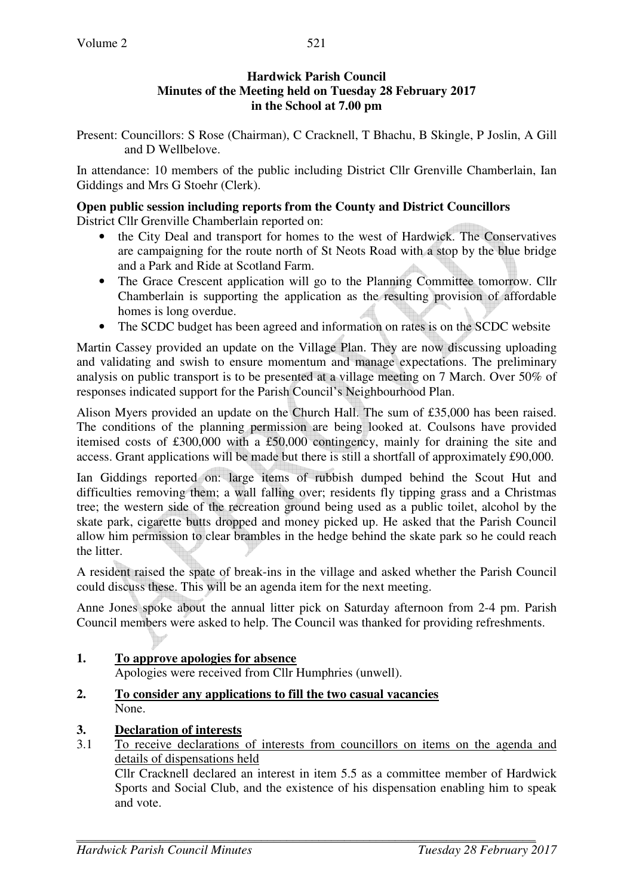### **Hardwick Parish Council Minutes of the Meeting held on Tuesday 28 February 2017 in the School at 7.00 pm**

Present: Councillors: S Rose (Chairman), C Cracknell, T Bhachu, B Skingle, P Joslin, A Gill and D Wellbelove.

In attendance: 10 members of the public including District Cllr Grenville Chamberlain, Ian Giddings and Mrs G Stoehr (Clerk).

#### **Open public session including reports from the County and District Councillors**  District Cllr Grenville Chamberlain reported on:

- the City Deal and transport for homes to the west of Hardwick. The Conservatives are campaigning for the route north of St Neots Road with a stop by the blue bridge and a Park and Ride at Scotland Farm.
- The Grace Crescent application will go to the Planning Committee tomorrow. Cllr Chamberlain is supporting the application as the resulting provision of affordable homes is long overdue.
- The SCDC budget has been agreed and information on rates is on the SCDC website

Martin Cassey provided an update on the Village Plan. They are now discussing uploading and validating and swish to ensure momentum and manage expectations. The preliminary analysis on public transport is to be presented at a village meeting on 7 March. Over 50% of responses indicated support for the Parish Council's Neighbourhood Plan.

Alison Myers provided an update on the Church Hall. The sum of £35,000 has been raised. The conditions of the planning permission are being looked at. Coulsons have provided itemised costs of £300,000 with a £50,000 contingency, mainly for draining the site and access. Grant applications will be made but there is still a shortfall of approximately £90,000.

Ian Giddings reported on: large items of rubbish dumped behind the Scout Hut and difficulties removing them; a wall falling over; residents fly tipping grass and a Christmas tree; the western side of the recreation ground being used as a public toilet, alcohol by the skate park, cigarette butts dropped and money picked up. He asked that the Parish Council allow him permission to clear brambles in the hedge behind the skate park so he could reach the litter.

A resident raised the spate of break-ins in the village and asked whether the Parish Council could discuss these. This will be an agenda item for the next meeting.

Anne Jones spoke about the annual litter pick on Saturday afternoon from 2-4 pm. Parish Council members were asked to help. The Council was thanked for providing refreshments.

### **1. To approve apologies for absence**

Apologies were received from Cllr Humphries (unwell).

**2. To consider any applications to fill the two casual vacancies** None.

### **3. Declaration of interests**

3.1 To receive declarations of interests from councillors on items on the agenda and details of dispensations held

Cllr Cracknell declared an interest in item 5.5 as a committee member of Hardwick Sports and Social Club, and the existence of his dispensation enabling him to speak and vote.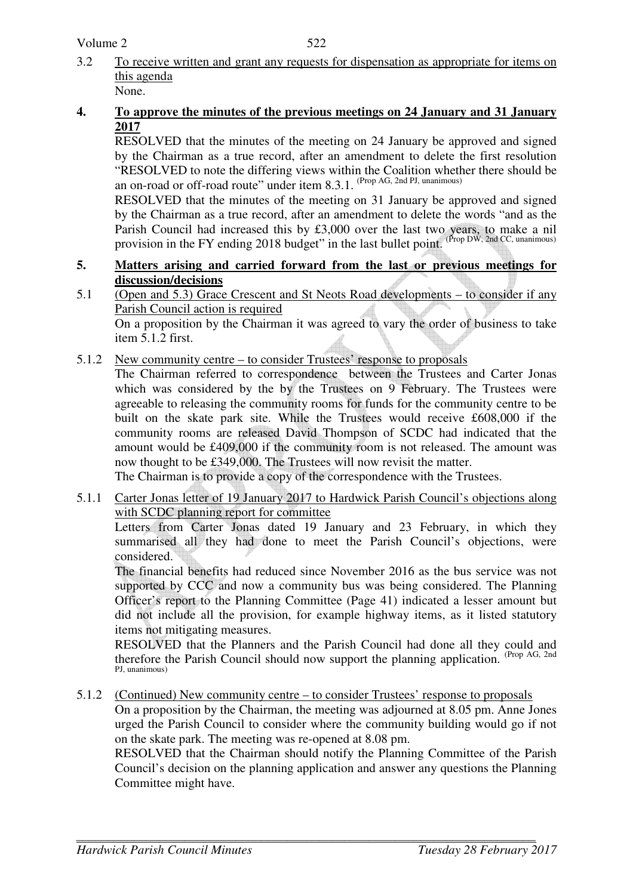Volume 2

- 3.2 To receive written and grant any requests for dispensation as appropriate for items on this agenda None.
- **4. To approve the minutes of the previous meetings on 24 January and 31 January 2017**

RESOLVED that the minutes of the meeting on 24 January be approved and signed by the Chairman as a true record, after an amendment to delete the first resolution "RESOLVED to note the differing views within the Coalition whether there should be an on-road or off-road route" under item 8.3.1. (Prop AG, 2nd PJ, unanimous)

RESOLVED that the minutes of the meeting on 31 January be approved and signed by the Chairman as a true record, after an amendment to delete the words "and as the Parish Council had increased this by £3,000 over the last two years, to make a nil provision in the FY ending 2018 budget" in the last bullet point. (Prop DW, 2nd CC, unanimous)

- **5. Matters arising and carried forward from the last or previous meetings for discussion/decisions**
- 5.1 (Open and 5.3) Grace Crescent and St Neots Road developments to consider if any Parish Council action is required On a proposition by the Chairman it was agreed to vary the order of business to take item 5.1.2 first.
- 5.1.2 New community centre to consider Trustees' response to proposals

 The Chairman referred to correspondence between the Trustees and Carter Jonas which was considered by the by the Trustees on 9 February. The Trustees were agreeable to releasing the community rooms for funds for the community centre to be built on the skate park site. While the Trustees would receive £608,000 if the community rooms are released David Thompson of SCDC had indicated that the amount would be £409,000 if the community room is not released. The amount was now thought to be £349,000. The Trustees will now revisit the matter.

The Chairman is to provide a copy of the correspondence with the Trustees.

5.1.1 Carter Jonas letter of 19 January 2017 to Hardwick Parish Council's objections along with SCDC planning report for committee

 Letters from Carter Jonas dated 19 January and 23 February, in which they summarised all they had done to meet the Parish Council's objections, were considered.

 The financial benefits had reduced since November 2016 as the bus service was not supported by CCC and now a community bus was being considered. The Planning Officer's report to the Planning Committee (Page 41) indicated a lesser amount but did not include all the provision, for example highway items, as it listed statutory items not mitigating measures.

 RESOLVED that the Planners and the Parish Council had done all they could and therefore the Parish Council should now support the planning application. (Prop AG, 2nd PJ, unanimous)

5.1.2 (Continued) New community centre – to consider Trustees' response to proposals

On a proposition by the Chairman, the meeting was adjourned at 8.05 pm. Anne Jones urged the Parish Council to consider where the community building would go if not on the skate park. The meeting was re-opened at 8.08 pm.

RESOLVED that the Chairman should notify the Planning Committee of the Parish Council's decision on the planning application and answer any questions the Planning Committee might have.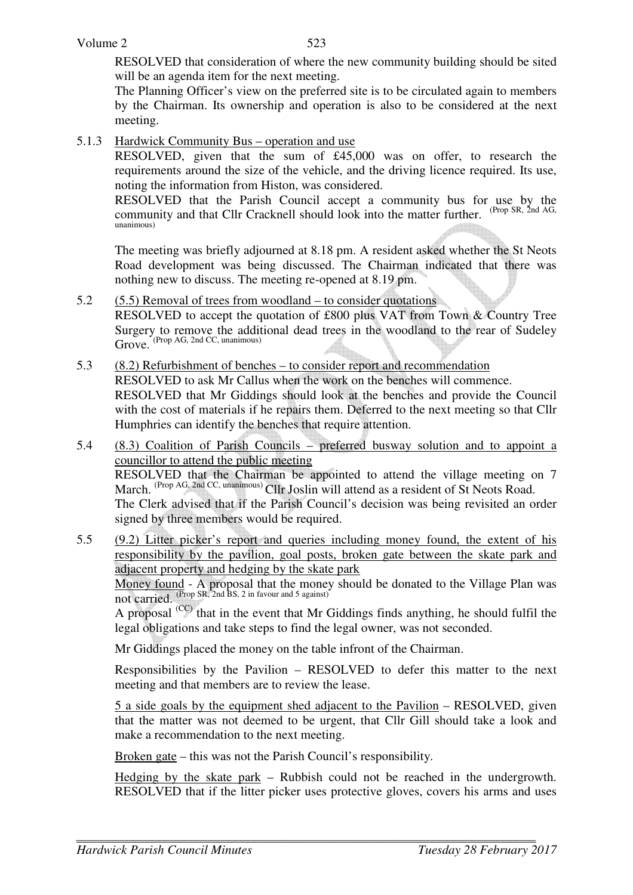RESOLVED that consideration of where the new community building should be sited will be an agenda item for the next meeting.

The Planning Officer's view on the preferred site is to be circulated again to members by the Chairman. Its ownership and operation is also to be considered at the next meeting.

5.1.3 Hardwick Community Bus – operation and use

 RESOLVED, given that the sum of £45,000 was on offer, to research the requirements around the size of the vehicle, and the driving licence required. Its use, noting the information from Histon, was considered.

RESOLVED that the Parish Council accept a community bus for use by the community and that Cllr Cracknell should look into the matter further. (Prop SR, 2nd AG, unanimous)

The meeting was briefly adjourned at 8.18 pm. A resident asked whether the St Neots Road development was being discussed. The Chairman indicated that there was nothing new to discuss. The meeting re-opened at 8.19 pm.

- 5.2 (5.5) Removal of trees from woodland to consider quotations RESOLVED to accept the quotation of £800 plus VAT from Town & Country Tree Surgery to remove the additional dead trees in the woodland to the rear of Sudeley  $G_{\text{TOVE}}$  (Prop AG, 2nd CC, unanimous)
- 5.3 (8.2) Refurbishment of benches to consider report and recommendation RESOLVED to ask Mr Callus when the work on the benches will commence. RESOLVED that Mr Giddings should look at the benches and provide the Council with the cost of materials if he repairs them. Deferred to the next meeting so that Cllr Humphries can identify the benches that require attention.
- 5.4 (8.3) Coalition of Parish Councils preferred busway solution and to appoint a councillor to attend the public meeting RESOLVED that the Chairman be appointed to attend the village meeting on 7 March. (Prop AG, 2nd CC, unanimous) Cllr Joslin will attend as a resident of St Neots Road. The Clerk advised that if the Parish Council's decision was being revisited an order signed by three members would be required.
- 5.5 (9.2) Litter picker's report and queries including money found, the extent of his responsibility by the pavilion, goal posts, broken gate between the skate park and adjacent property and hedging by the skate park

Money found - A proposal that the money should be donated to the Village Plan was not carried. (Prop SR, 2nd BS, 2 in favour and 5 against)

A proposal (CC) that in the event that Mr Giddings finds anything, he should fulfil the legal obligations and take steps to find the legal owner, was not seconded.

Mr Giddings placed the money on the table infront of the Chairman.

 Responsibilities by the Pavilion – RESOLVED to defer this matter to the next meeting and that members are to review the lease.

 5 a side goals by the equipment shed adjacent to the Pavilion – RESOLVED, given that the matter was not deemed to be urgent, that Cllr Gill should take a look and make a recommendation to the next meeting.

Broken gate – this was not the Parish Council's responsibility.

 Hedging by the skate park – Rubbish could not be reached in the undergrowth. RESOLVED that if the litter picker uses protective gloves, covers his arms and uses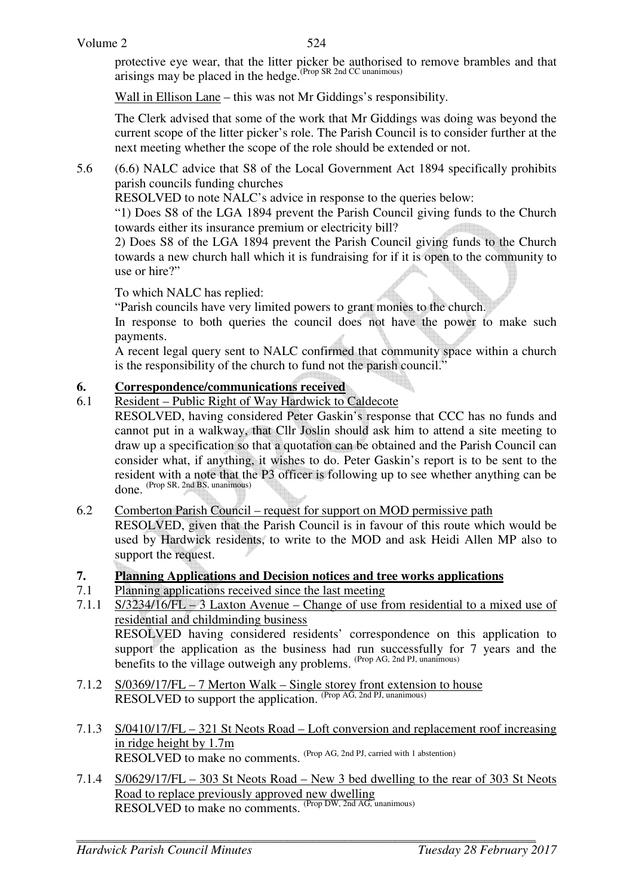protective eye wear, that the litter picker be authorised to remove brambles and that arisings may be placed in the hedge.<sup>(Prop SR 2nd CC unanimous)</sup>

Wall in Ellison Lane – this was not Mr Giddings's responsibility.

 The Clerk advised that some of the work that Mr Giddings was doing was beyond the current scope of the litter picker's role. The Parish Council is to consider further at the next meeting whether the scope of the role should be extended or not.

5.6 (6.6) NALC advice that S8 of the Local Government Act 1894 specifically prohibits parish councils funding churches

RESOLVED to note NALC's advice in response to the queries below:

"1) Does S8 of the LGA 1894 prevent the Parish Council giving funds to the Church towards either its insurance premium or electricity bill?

2) Does S8 of the LGA 1894 prevent the Parish Council giving funds to the Church towards a new church hall which it is fundraising for if it is open to the community to use or hire?"

To which NALC has replied:

"Parish councils have very limited powers to grant monies to the church.

In response to both queries the council does not have the power to make such payments.

A recent legal query sent to NALC confirmed that community space within a church is the responsibility of the church to fund not the parish council."

## **6. Correspondence/communications received**

- 6.1 Resident Public Right of Way Hardwick to Caldecote
	- RESOLVED, having considered Peter Gaskin's response that CCC has no funds and cannot put in a walkway, that Cllr Joslin should ask him to attend a site meeting to draw up a specification so that a quotation can be obtained and the Parish Council can consider what, if anything, it wishes to do. Peter Gaskin's report is to be sent to the resident with a note that the P3 officer is following up to see whether anything can be done. (Prop SR, 2nd BS, unanimous)
- 6.2 Comberton Parish Council request for support on MOD permissive path

RESOLVED, given that the Parish Council is in favour of this route which would be used by Hardwick residents, to write to the MOD and ask Heidi Allen MP also to support the request.

- **7. Planning Applications and Decision notices and tree works applications**
- 7.1 Planning applications received since the last meeting
- 7.1.1 S/3234/16/FL 3 Laxton Avenue Change of use from residential to a mixed use of residential and childminding business RESOLVED having considered residents' correspondence on this application to support the application as the business had run successfully for 7 years and the benefits to the village outweigh any problems. (Prop AG, 2nd PJ, unanimous)
- 7.1.2 S/0369/17/FL 7 Merton Walk Single storey front extension to house RESOLVED to support the application. (Prop AG, 2nd PJ, unanimous)
- 7.1.3 S/0410/17/FL 321 St Neots Road Loft conversion and replacement roof increasing in ridge height by 1.7m RESOLVED to make no comments. (Prop AG, 2nd PJ, carried with 1 abstention)
- 7.1.4 S/0629/17/FL 303 St Neots Road New 3 bed dwelling to the rear of 303 St Neots Road to replace previously approved new dwelling RESOLVED to make no comments. (Prop DW, 2nd AG, unanimous)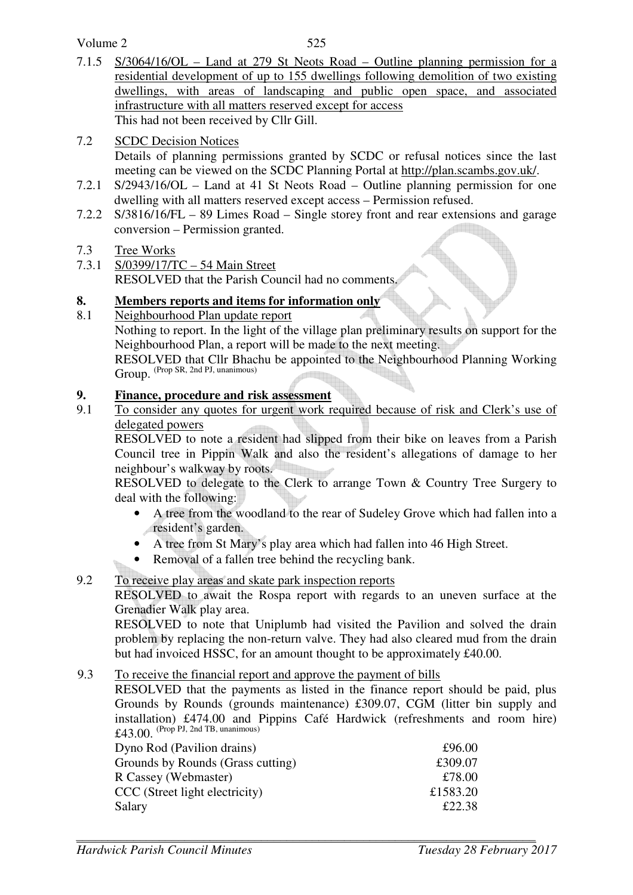Volume 2

- 7.1.5 S/3064/16/OL Land at 279 St Neots Road Outline planning permission for a residential development of up to 155 dwellings following demolition of two existing dwellings, with areas of landscaping and public open space, and associated infrastructure with all matters reserved except for access This had not been received by Cllr Gill.
- 7.2 SCDC Decision Notices

Details of planning permissions granted by SCDC or refusal notices since the last meeting can be viewed on the SCDC Planning Portal at http://plan.scambs.gov.uk/.

- 7.2.1 S/2943/16/OL Land at 41 St Neots Road Outline planning permission for one dwelling with all matters reserved except access – Permission refused.
- 7.2.2 S/3816/16/FL 89 Limes Road Single storey front and rear extensions and garage conversion – Permission granted.
- 7.3 Tree Works
- 7.3.1 S/0399/17/TC 54 Main Street RESOLVED that the Parish Council had no comments.

# **8. Members reports and items for information only**

8.1 Neighbourhood Plan update report Nothing to report. In the light of the village plan preliminary results on support for the Neighbourhood Plan, a report will be made to the next meeting. RESOLVED that Cllr Bhachu be appointed to the Neighbourhood Planning Working Group. (Prop SR, 2nd PJ, unanimous)

## **9. Finance, procedure and risk assessment**

9.1 To consider any quotes for urgent work required because of risk and Clerk's use of delegated powers

 RESOLVED to note a resident had slipped from their bike on leaves from a Parish Council tree in Pippin Walk and also the resident's allegations of damage to her neighbour's walkway by roots.

 RESOLVED to delegate to the Clerk to arrange Town & Country Tree Surgery to deal with the following:

- A tree from the woodland to the rear of Sudeley Grove which had fallen into a resident's garden.
- A tree from St Mary's play area which had fallen into 46 High Street.
- Removal of a fallen tree behind the recycling bank.

# 9.2 To receive play areas and skate park inspection reports

 RESOLVED to await the Rospa report with regards to an uneven surface at the Grenadier Walk play area.

RESOLVED to note that Uniplumb had visited the Pavilion and solved the drain problem by replacing the non-return valve. They had also cleared mud from the drain but had invoiced HSSC, for an amount thought to be approximately £40.00.

## 9.3 To receive the financial report and approve the payment of bills

RESOLVED that the payments as listed in the finance report should be paid, plus Grounds by Rounds (grounds maintenance) £309.07, CGM (litter bin supply and installation) £474.00 and Pippins Café Hardwick (refreshments and room hire)  $£43.00.$  (Prop PJ, 2nd TB, unanimous)

| £96.00   |
|----------|
| £309.07  |
| £78.00   |
| £1583.20 |
| £22.38   |
|          |